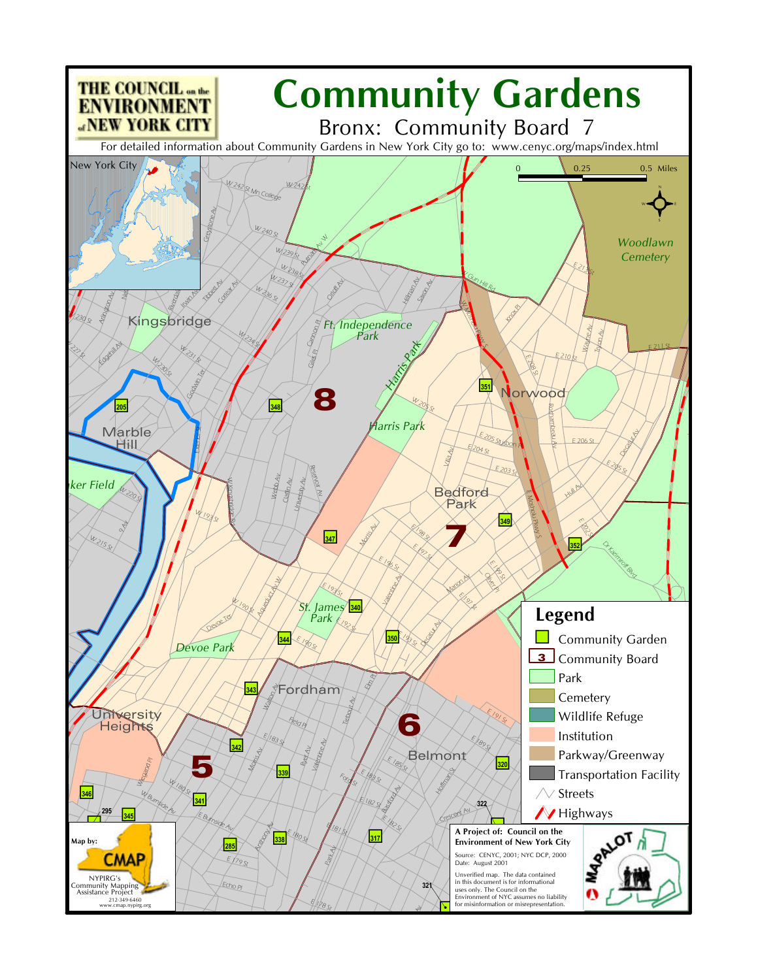